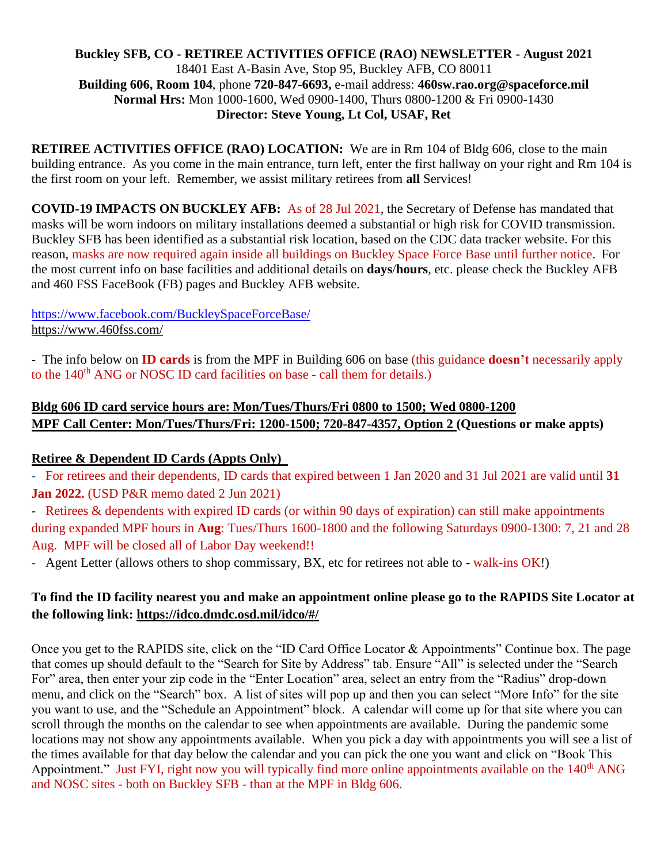#### **Buckley SFB, CO - RETIREE ACTIVITIES OFFICE (RAO) NEWSLETTER - August 2021** 18401 East A-Basin Ave, Stop 95, Buckley AFB, CO 80011 **Building 606, Room 104**, phone **720-847-6693,** e-mail address: **460sw.rao.org@spaceforce.mil Normal Hrs:** Mon 1000-1600, Wed 0900-1400, Thurs 0800-1200 & Fri 0900-1430 **Director: Steve Young, Lt Col, USAF, Ret**

**RETIREE ACTIVITIES OFFICE (RAO) LOCATION:** We are in Rm 104 of Bldg 606, close to the main building entrance. As you come in the main entrance, turn left, enter the first hallway on your right and Rm 104 is the first room on your left. Remember, we assist military retirees from **all** Services!

**COVID-19 IMPACTS ON BUCKLEY AFB:** As of 28 Jul 2021, the Secretary of Defense has mandated that masks will be worn indoors on military installations deemed a substantial or high risk for COVID transmission. Buckley SFB has been identified as a substantial risk location, based on the CDC data tracker website. For this reason, masks are now required again inside all buildings on Buckley Space Force Base until further notice. For the most current info on base facilities and additional details on **days**/**hours**, etc. please check the Buckley AFB and 460 FSS FaceBook (FB) pages and Buckley AFB website.

#### <https://www.facebook.com/BuckleySpaceForceBase/> <https://www.460fss.com/>

- The info below on **ID cards** is from the MPF in Building 606 on base (this guidance **doesn't** necessarily apply to the 140<sup>th</sup> ANG or NOSC ID card facilities on base - call them for details.)

# **Bldg 606 ID card service hours are: Mon/Tues/Thurs/Fri 0800 to 1500; Wed 0800-1200 MPF Call Center: Mon/Tues/Thurs/Fri: 1200-1500; 720-847-4357, Option 2 (Questions or make appts)**

## **Retiree & Dependent ID Cards (Appts Only)**

- For retirees and their dependents, ID cards that expired between 1 Jan 2020 and 31 Jul 2021 are valid until **31 Jan 2022.** (USD P&R memo dated 2 Jun 2021)

- Retirees & dependents with expired ID cards (or within 90 days of expiration) can still make appointments during expanded MPF hours in **Aug**: Tues/Thurs 1600-1800 and the following Saturdays 0900-1300: 7, 21 and 28 Aug. MPF will be closed all of Labor Day weekend!!

- Agent Letter (allows others to shop commissary, BX, etc for retirees not able to - walk-ins OK!)

# **To find the ID facility nearest you and make an appointment online please go to the RAPIDS Site Locator at the following link:<https://idco.dmdc.osd.mil/idco/#/>**

Once you get to the RAPIDS site, click on the "ID Card Office Locator & Appointments" Continue box. The page that comes up should default to the "Search for Site by Address" tab. Ensure "All" is selected under the "Search For" area, then enter your zip code in the "Enter Location" area, select an entry from the "Radius" drop-down menu, and click on the "Search" box. A list of sites will pop up and then you can select "More Info" for the site you want to use, and the "Schedule an Appointment" block. A calendar will come up for that site where you can scroll through the months on the calendar to see when appointments are available. During the pandemic some locations may not show any appointments available. When you pick a day with appointments you will see a list of the times available for that day below the calendar and you can pick the one you want and click on "Book This Appointment." Just FYI, right now you will typically find more online appointments available on the 140<sup>th</sup> ANG and NOSC sites - both on Buckley SFB - than at the MPF in Bldg 606.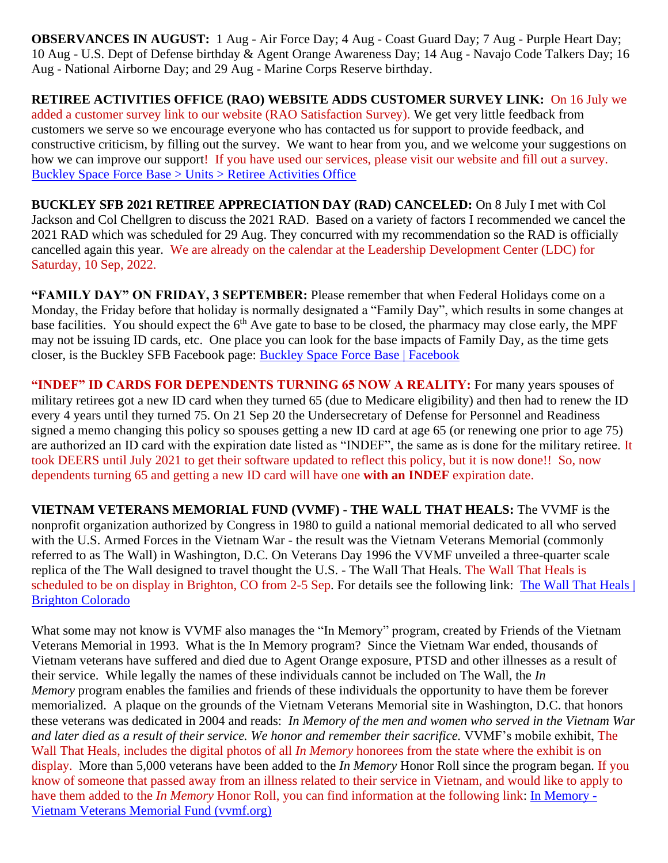**OBSERVANCES IN AUGUST:** 1 Aug - Air Force Day; 4 Aug - Coast Guard Day; 7 Aug - Purple Heart Day; 10 Aug - U.S. Dept of Defense birthday & Agent Orange Awareness Day; 14 Aug - Navajo Code Talkers Day; 16 Aug - National Airborne Day; and 29 Aug - Marine Corps Reserve birthday.

**RETIREE ACTIVITIES OFFICE (RAO) WEBSITE ADDS CUSTOMER SURVEY LINK:** On 16 July we added a customer survey link to our website (RAO Satisfaction Survey). We get very little feedback from customers we serve so we encourage everyone who has contacted us for support to provide feedback, and constructive criticism, by filling out the survey. We want to hear from you, and we welcome your suggestions on how we can improve our support! If you have used our services, please visit our website and fill out a survey. [Buckley Space Force Base > Units > Retiree Activities Office](https://www.buckley.spaceforce.mil/Units/Retiree-Activities-Office/)

**BUCKLEY SFB 2021 RETIREE APPRECIATION DAY (RAD) CANCELED:** On 8 July I met with Col Jackson and Col Chellgren to discuss the 2021 RAD. Based on a variety of factors I recommended we cancel the 2021 RAD which was scheduled for 29 Aug. They concurred with my recommendation so the RAD is officially cancelled again this year. We are already on the calendar at the Leadership Development Center (LDC) for Saturday, 10 Sep, 2022.

**"FAMILY DAY" ON FRIDAY, 3 SEPTEMBER:** Please remember that when Federal Holidays come on a Monday, the Friday before that holiday is normally designated a "Family Day", which results in some changes at base facilities. You should expect the  $6<sup>th</sup>$  Ave gate to base to be closed, the pharmacy may close early, the MPF may not be issuing ID cards, etc. One place you can look for the base impacts of Family Day, as the time gets closer, is the Buckley SFB Facebook page: [Buckley Space Force Base | Facebook](https://www.facebook.com/BuckleySpaceForceBase/)

**"INDEF" ID CARDS FOR DEPENDENTS TURNING 65 NOW A REALITY:** For many years spouses of military retirees got a new ID card when they turned 65 (due to Medicare eligibility) and then had to renew the ID every 4 years until they turned 75. On 21 Sep 20 the Undersecretary of Defense for Personnel and Readiness signed a memo changing this policy so spouses getting a new ID card at age 65 (or renewing one prior to age 75) are authorized an ID card with the expiration date listed as "INDEF", the same as is done for the military retiree. It took DEERS until July 2021 to get their software updated to reflect this policy, but it is now done!! So, now dependents turning 65 and getting a new ID card will have one **with an INDEF** expiration date.

**VIETNAM VETERANS MEMORIAL FUND (VVMF) - THE WALL THAT HEALS:** The VVMF is the nonprofit organization authorized by Congress in 1980 to guild a national memorial dedicated to all who served with the U.S. Armed Forces in the Vietnam War - the result was the Vietnam Veterans Memorial (commonly referred to as The Wall) in Washington, D.C. On Veterans Day 1996 the VVMF unveiled a three-quarter scale replica of the The Wall designed to travel thought the U.S. - The Wall That Heals. The Wall That Heals is scheduled to be on display in Brighton, CO from 2-5 Sep. For details see the following link: The Wall That Heals | [Brighton Colorado](https://www.brightonco.gov/1583/The-Wall-That-Heals)

What some may not know is VVMF also manages the "In Memory" program, created by Friends of the Vietnam Veterans Memorial in 1993. What is the In Memory program? Since the Vietnam War ended, thousands of Vietnam veterans have suffered and died due to Agent Orange exposure, PTSD and other illnesses as a result of their service. While legally the names of these individuals cannot be included on The Wall, the *In Memory* program enables the families and friends of these individuals the opportunity to have them be forever memorialized. A plaque on the grounds of the Vietnam Veterans Memorial site in Washington, D.C. that honors these veterans was dedicated in 2004 and reads: *In Memory of the men and women who served in the Vietnam War and later died as a result of their service. We honor and remember their sacrifice.* VVMF's mobile exhibit, [The](https://www.vvmf.org/The-Wall-That-Heals/)  [Wall That Heals,](https://www.vvmf.org/The-Wall-That-Heals/) includes the digital photos of all *In Memory* honorees from the state where the exhibit is on display. More than 5,000 veterans have been added to the *In Memory* Honor Roll since the program began. If you know of someone that passed away from an illness related to their service in Vietnam, and would like to apply to have them added to the *In Memory* Honor Roll, you can find information at the following link: [In Memory -](https://www.vvmf.org/In-Memory-Program/) [Vietnam Veterans Memorial Fund \(vvmf.org\)](https://www.vvmf.org/In-Memory-Program/)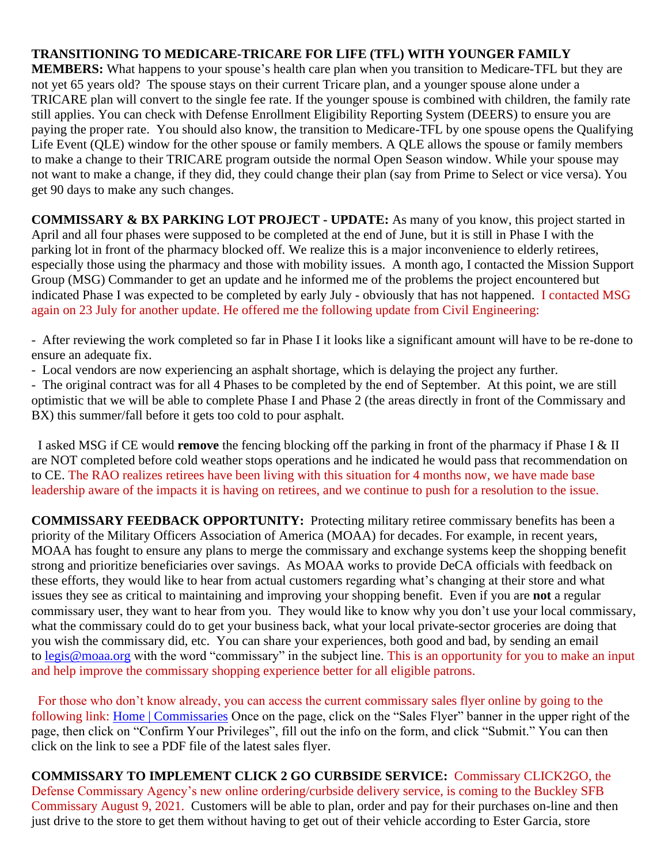## **TRANSITIONING TO MEDICARE-TRICARE FOR LIFE (TFL) WITH YOUNGER FAMILY**

**MEMBERS:** What happens to your spouse's health care plan when you transition to Medicare-TFL but they are not yet 65 years old? The spouse stays on their current Tricare plan, and a younger spouse alone under a TRICARE plan will convert to the single fee rate. If the younger spouse is combined with children, the family rate still applies. You can check with Defense Enrollment Eligibility Reporting System (DEERS) to ensure you are paying the proper rate. You should also know, the transition to Medicare-TFL by one spouse opens the Qualifying Life Event (QLE) window for the other spouse or family members. A QLE allows the spouse or family members to make a change to their TRICARE program outside the normal Open Season window. While your spouse may not want to make a change, if they did, they could change their plan (say from Prime to Select or vice versa). You get 90 days to make any such changes.

**COMMISSARY & BX PARKING LOT PROJECT - UPDATE:** As many of you know, this project started in April and all four phases were supposed to be completed at the end of June, but it is still in Phase I with the parking lot in front of the pharmacy blocked off. We realize this is a major inconvenience to elderly retirees, especially those using the pharmacy and those with mobility issues. A month ago, I contacted the Mission Support Group (MSG) Commander to get an update and he informed me of the problems the project encountered but indicated Phase I was expected to be completed by early July - obviously that has not happened. I contacted MSG again on 23 July for another update. He offered me the following update from Civil Engineering:

- After reviewing the work completed so far in Phase I it looks like a significant amount will have to be re-done to ensure an adequate fix.

- Local vendors are now experiencing an asphalt shortage, which is delaying the project any further.

- The original contract was for all 4 Phases to be completed by the end of September. At this point, we are still optimistic that we will be able to complete Phase I and Phase 2 (the areas directly in front of the Commissary and BX) this summer/fall before it gets too cold to pour asphalt.

 I asked MSG if CE would **remove** the fencing blocking off the parking in front of the pharmacy if Phase I & II are NOT completed before cold weather stops operations and he indicated he would pass that recommendation on to CE. The RAO realizes retirees have been living with this situation for 4 months now, we have made base leadership aware of the impacts it is having on retirees, and we continue to push for a resolution to the issue.

**COMMISSARY FEEDBACK OPPORTUNITY:** Protecting military retiree commissary benefits has been a priority of the Military Officers Association of America (MOAA) for decades. For example, in recent years, MOAA has fought to ensure any plans to merge the commissary and exchange systems keep the shopping benefit strong and prioritize beneficiaries over savings. As MOAA works to provide DeCA officials with feedback on these efforts, they would like to hear from actual customers regarding what's changing at their store and what issues they see as critical to maintaining and improving your shopping benefit. Even if you are **not** a regular commissary user, they want to hear from you. They would like to know why you don't use your local commissary, what the commissary could do to get your business back, what your local private-sector groceries are doing that you wish the commissary did, etc. You can share your experiences, both good and bad, by sending an email to [legis@moaa.org](mailto:legis@moaa.org?subject=Commissary) with the word "commissary" in the subject line. This is an opportunity for you to make an input and help improve the commissary shopping experience better for all eligible patrons.

 For those who don't know already, you can access the current commissary sales flyer online by going to the following link: [Home | Commissaries](https://www.commissaries.com/) Once on the page, click on the "Sales Flyer" banner in the upper right of the page, then click on "Confirm Your Privileges", fill out the info on the form, and click "Submit." You can then click on the link to see a PDF file of the latest sales flyer.

**COMMISSARY TO IMPLEMENT CLICK 2 GO CURBSIDE SERVICE:** Commissary CLICK2GO, the Defense Commissary Agency's new online ordering/curbside delivery service, is coming to the Buckley SFB Commissary August 9, 2021. Customers will be able to plan, order and pay for their purchases on-line and then just drive to the store to get them without having to get out of their vehicle according to Ester Garcia, store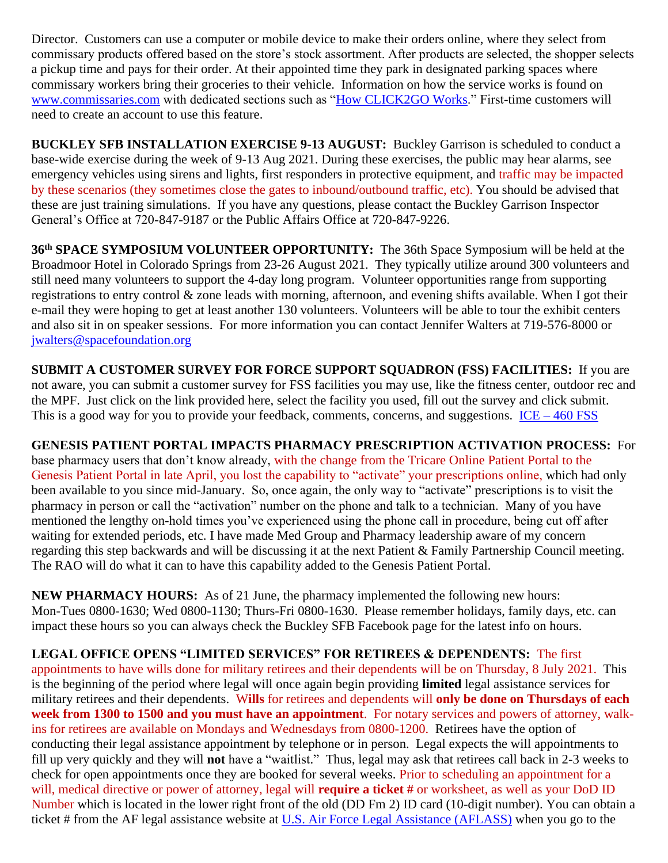Director. Customers can use a computer or mobile device to make their orders online, where they select from commissary products offered based on the store's stock assortment. After products are selected, the shopper selects a pickup time and pays for their order. At their appointed time they park in designated parking spaces where commissary workers bring their groceries to their vehicle. Information on how the service works is found on [www.commissaries.com](http://www.commissaries.com/) with dedicated sections such as ["How CLICK2GO Works.](https://commissaries.com/how-CLICK2GO-works)" First-time customers will need to create an account to use this feature.

**BUCKLEY SFB INSTALLATION EXERCISE 9-13 AUGUST:** Buckley Garrison is scheduled to conduct a base-wide exercise during the week of 9-13 Aug 2021. During these exercises, the public may hear alarms, see emergency vehicles using sirens and lights, first responders in protective equipment, and traffic may be impacted by these scenarios (they sometimes close the gates to inbound/outbound traffic, etc). You should be advised that these are just training simulations. If you have any questions, please contact the Buckley Garrison Inspector General's Office at 720-847-9187 or the Public Affairs Office at 720-847-9226.

**36th SPACE SYMPOSIUM VOLUNTEER OPPORTUNITY:** The 36th Space Symposium will be held at the Broadmoor Hotel in Colorado Springs from 23-26 August 2021. They typically utilize around 300 volunteers and still need many volunteers to support the 4-day long program. Volunteer opportunities range from supporting registrations to entry control & zone leads with morning, afternoon, and evening shifts available. When I got their e-mail they were hoping to get at least another 130 volunteers. Volunteers will be able to tour the exhibit centers and also sit in on speaker sessions. For more information you can contact Jennifer Walters at 719-576-8000 or [jwalters@spacefoundation.org](mailto:jwalters@spacefoundation.org)

**SUBMIT A CUSTOMER SURVEY FOR FORCE SUPPORT SQUADRON (FSS) FACILITIES:** If you are not aware, you can submit a customer survey for FSS facilities you may use, like the fitness center, outdoor rec and the MPF. Just click on the link provided here, select the facility you used, fill out the survey and click submit. This is a good way for you to provide your feedback, comments, concerns, and suggestions.  $ICE - 460 FSS$  $ICE - 460 FSS$ 

**GENESIS PATIENT PORTAL IMPACTS PHARMACY PRESCRIPTION ACTIVATION PROCESS:** For base pharmacy users that don't know already, with the change from the Tricare Online Patient Portal to the Genesis Patient Portal in late April, you lost the capability to "activate" your prescriptions online, which had only been available to you since mid-January. So, once again, the only way to "activate" prescriptions is to visit the pharmacy in person or call the "activation" number on the phone and talk to a technician. Many of you have mentioned the lengthy on-hold times you've experienced using the phone call in procedure, being cut off after waiting for extended periods, etc. I have made Med Group and Pharmacy leadership aware of my concern regarding this step backwards and will be discussing it at the next Patient & Family Partnership Council meeting. The RAO will do what it can to have this capability added to the Genesis Patient Portal.

**NEW PHARMACY HOURS:** As of 21 June, the pharmacy implemented the following new hours: Mon-Tues 0800-1630; Wed 0800-1130; Thurs-Fri 0800-1630. Please remember holidays, family days, etc. can impact these hours so you can always check the Buckley SFB Facebook page for the latest info on hours.

**LEGAL OFFICE OPENS "LIMITED SERVICES" FOR RETIREES & DEPENDENTS:** The first appointments to have wills done for military retirees and their dependents will be on Thursday, 8 July 2021. This is the beginning of the period where legal will once again begin providing **limited** legal assistance services for military retirees and their dependents. W**ills** for retirees and dependents will **only be done on Thursdays of each week from 1300 to 1500 and you must have an appointment**. For notary services and powers of attorney, walkins for retirees are available on Mondays and Wednesdays from 0800-1200. Retirees have the option of conducting their legal assistance appointment by telephone or in person. Legal expects the will appointments to fill up very quickly and they will **not** have a "waitlist." Thus, legal may ask that retirees call back in 2-3 weeks to check for open appointments once they are booked for several weeks. Prior to scheduling an appointment for a will, medical directive or power of attorney, legal will **require a ticket #** or worksheet, as well as your DoD ID Number which is located in the lower right front of the old (DD Fm 2) ID card (10-digit number). You can obtain a ticket # from the AF legal assistance website at [U.S. Air Force Legal Assistance \(AFLASS\)](https://aflegalassistance.law.af.mil/lass/lass.html) when you go to the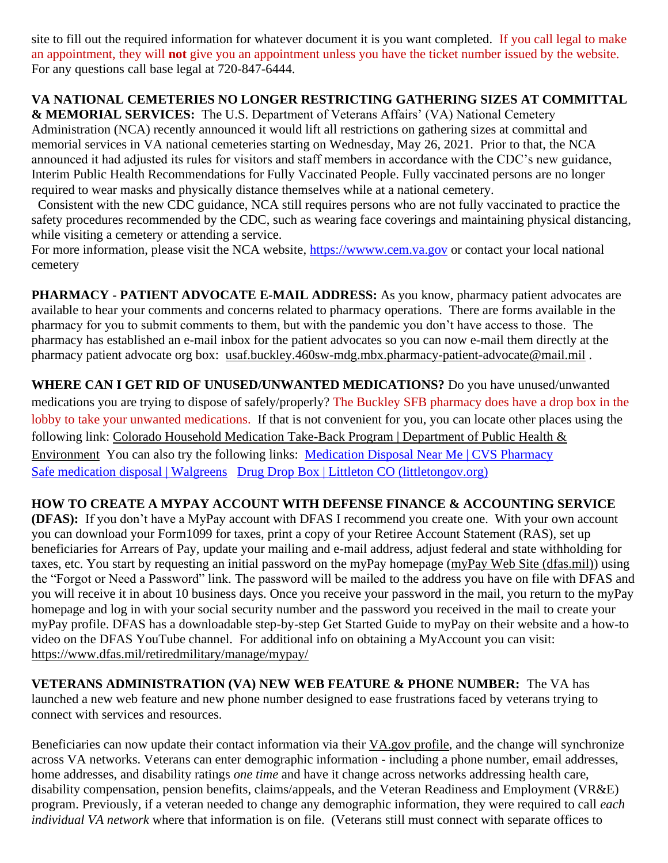site to fill out the required information for whatever document it is you want completed. If you call legal to make an appointment, they will **not** give you an appointment unless you have the ticket number issued by the website. For any questions call base legal at 720-847-6444.

## **VA NATIONAL CEMETERIES NO LONGER RESTRICTING GATHERING SIZES AT COMMITTAL**

**& MEMORIAL SERVICES:** The U.S. Department of Veterans Affairs' (VA) National Cemetery Administration (NCA) recently announced it would lift all restrictions on gathering sizes at committal and memorial services in VA national cemeteries starting on Wednesday, May 26, 2021. Prior to that, the NCA announced it had adjusted its rules for visitors and staff members in accordance with the CDC's new guidance, Interim Public Health Recommendations for Fully Vaccinated People. Fully vaccinated persons are no longer required to wear masks and physically distance themselves while at a national cemetery.

 Consistent with the new CDC guidance, NCA still requires persons who are not fully vaccinated to practice the safety procedures recommended by the CDC, such as wearing face coverings and maintaining physical distancing, while visiting a cemetery or attending a service.

For more information, please visit the NCA website, https://www.cem.va.gov or contact your local national cemetery

**PHARMACY - PATIENT ADVOCATE E-MAIL ADDRESS:** As you know, pharmacy patient advocates are available to hear your comments and concerns related to pharmacy operations. There are forms available in the pharmacy for you to submit comments to them, but with the pandemic you don't have access to those. The pharmacy has established an e-mail inbox for the patient advocates so you can now e-mail them directly at the pharmacy patient advocate org box: [usaf.buckley.460sw-mdg.mbx.pharmacy-patient-advocate@mail.mil](mailto:usaf.buckley.460sw-mdg.mbx.pharmacy-patient-advocate@mail.mil) .

**WHERE CAN I GET RID OF UNUSED/UNWANTED MEDICATIONS?** Do you have unused/unwanted medications you are trying to dispose of safely/properly? The Buckley SFB pharmacy does have a drop box in the lobby to take your unwanted medications. If that is not convenient for you, you can locate other places using the following link: Colorado Household Medication Take-Back Program | Department of Public Health & [Environment](https://cdphe.colorado.gov/colorado-medication-take-back-program) You can also try the following links: [Medication Disposal Near Me | CVS Pharmacy](https://www.cvs.com/content/safer-communities-locate) [Safe medication disposal | Walgreens](https://www.walgreens.com/topic/pharmacy/safe-medication-disposal.jsp) [Drug Drop Box | Littleton CO \(littletongov.org\)](https://www.littletongov.org/city-services/city-departments/police-department/programs-services/drug-drop-box)

## **HOW TO CREATE A MYPAY ACCOUNT WITH DEFENSE FINANCE & ACCOUNTING SERVICE**

**(DFAS):** If you don't have a MyPay account with DFAS I recommend you create one. With your own account you can download your Form1099 for taxes, print a copy of your Retiree Account Statement (RAS), set up beneficiaries for Arrears of Pay, update your mailing and e-mail address, adjust federal and state withholding for taxes, etc. You start by requesting an initial password on the myPay homepage [\(myPay Web Site \(dfas.mil\)\)](https://mypay.dfas.mil/#/) using the "Forgot or Need a Password" link. The password will be mailed to the address you have on file with DFAS and you will receive it in about 10 business days. Once you receive your password in the mail, you return to the myPay homepage and log in with your social security number and the password you received in the mail to create your myPay profile. DFAS has a downloadable step-by-step Get Started Guide to myPay on their website and a how-to video on the DFAS YouTube channel. For additional info on obtaining a MyAccount you can visit: <https://www.dfas.mil/retiredmilitary/manage/mypay/>

**VETERANS ADMINISTRATION (VA) NEW WEB FEATURE & PHONE NUMBER:** The VA has launched a new web feature and new phone number designed to ease frustrations faced by veterans trying to connect with services and resources.

Beneficiaries can now update their contact information via their [VA.gov](https://www.va.gov/change-address/) profile, and the change will synchronize across VA networks. Veterans can enter demographic information - including a phone number, email addresses, home addresses, and disability ratings *one time* and have it change across networks addressing health care, disability compensation, pension benefits, claims/appeals, and the Veteran Readiness and Employment (VR&E) program. Previously, if a veteran needed to change any demographic information, they were required to call *each individual VA network* where that information is on file. (Veterans still must connect with separate offices to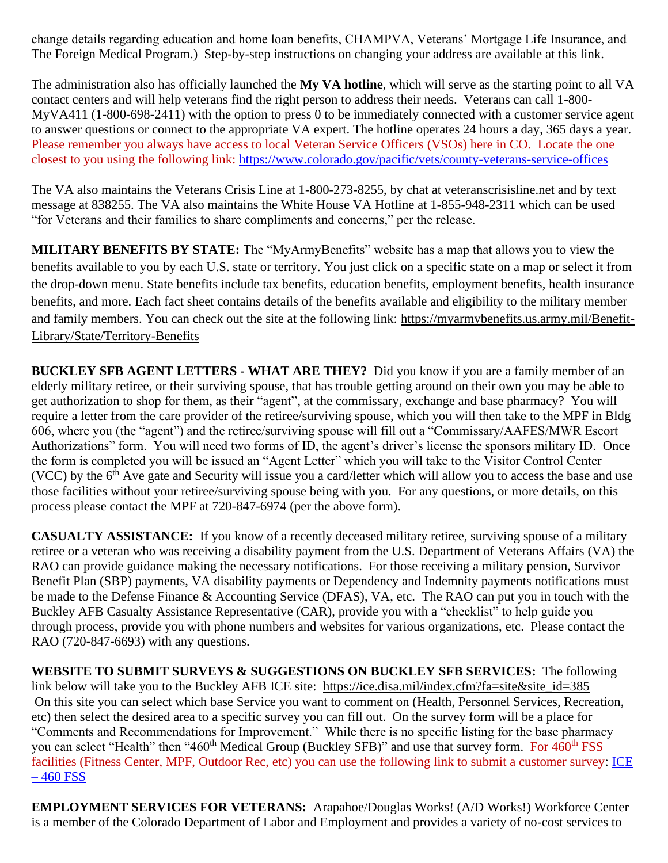change details regarding education and home loan benefits, CHAMPVA, Veterans' Mortgage Life Insurance, and The Foreign Medical Program.) Step-by-step instructions on changing your address are available at this [link.](https://www.va.gov/change-address/)

The administration also has officially launched the **My VA hotline**, which will serve as the starting point to all VA contact centers and will help veterans find the right person to address their needs. Veterans can call 1-800- MyVA411 (1-800-698-2411) with the option to press 0 to be immediately connected with a customer service agent to answer questions or connect to the appropriate VA expert. The hotline operates 24 hours a day, 365 days a year. Please remember you always have access to local Veteran Service Officers (VSOs) here in CO. Locate the one closest to you using the following link:<https://www.colorado.gov/pacific/vets/county-veterans-service-offices>

The VA also maintains the Veterans Crisis Line at 1-800-273-8255, by chat at [veteranscrisisline.net](https://www.va.gov/opa/pressrel/pressrelease.cfm?id=5588) and by text message at 838255. The VA also maintains the White House VA Hotline at 1-855-948-2311 which can be used "for Veterans and their families to share compliments and concerns," per the release.

**MILITARY BENEFITS BY STATE:** The "MyArmyBenefits" website has a map that allows you to view the benefits available to you by each U.S. state or territory. You just click on a specific state on a map or select it from the drop-down menu. State benefits include tax benefits, education benefits, employment benefits, health insurance benefits, and more. Each fact sheet contains details of the benefits available and eligibility to the military member and family members. You can check out the site at the following link: [https://myarmybenefits.us.army.mil/Benefit-](https://myarmybenefits.us.army.mil/Benefit-Library/State/Territory-Benefits)[Library/State/Territory-Benefits](https://myarmybenefits.us.army.mil/Benefit-Library/State/Territory-Benefits)

**BUCKLEY SFB AGENT LETTERS - WHAT ARE THEY?** Did you know if you are a family member of an elderly military retiree, or their surviving spouse, that has trouble getting around on their own you may be able to get authorization to shop for them, as their "agent", at the commissary, exchange and base pharmacy? You will require a letter from the care provider of the retiree/surviving spouse, which you will then take to the MPF in Bldg 606, where you (the "agent") and the retiree/surviving spouse will fill out a "Commissary/AAFES/MWR Escort Authorizations" form. You will need two forms of ID, the agent's driver's license the sponsors military ID. Once the form is completed you will be issued an "Agent Letter" which you will take to the Visitor Control Center (VCC) by the  $6<sup>th</sup>$  Ave gate and Security will issue you a card/letter which will allow you to access the base and use those facilities without your retiree/surviving spouse being with you. For any questions, or more details, on this process please contact the MPF at 720-847-6974 (per the above form).

**CASUALTY ASSISTANCE:** If you know of a recently deceased military retiree, surviving spouse of a military retiree or a veteran who was receiving a disability payment from the U.S. Department of Veterans Affairs (VA) the RAO can provide guidance making the necessary notifications. For those receiving a military pension, Survivor Benefit Plan (SBP) payments, VA disability payments or Dependency and Indemnity payments notifications must be made to the Defense Finance & Accounting Service (DFAS), VA, etc. The RAO can put you in touch with the Buckley AFB Casualty Assistance Representative (CAR), provide you with a "checklist" to help guide you through process, provide you with phone numbers and websites for various organizations, etc. Please contact the RAO (720-847-6693) with any questions.

**WEBSITE TO SUBMIT SURVEYS & SUGGESTIONS ON BUCKLEY SFB SERVICES:** The following link below will take you to the Buckley AFB ICE site: [https://ice.disa.mil/index.cfm?fa=site&site\\_id=385](https://ice.disa.mil/index.cfm?fa=site&site_id=385) On this site you can select which base Service you want to comment on (Health, Personnel Services, Recreation, etc) then select the desired area to a specific survey you can fill out. On the survey form will be a place for "Comments and Recommendations for Improvement." While there is no specific listing for the base pharmacy you can select "Health" then "460<sup>th</sup> Medical Group (Buckley SFB)" and use that survey form. For 460<sup>th</sup> FSS facilities (Fitness Center, MPF, Outdoor Rec, etc) you can use the following link to submit a customer survey: [ICE](https://www.460fss.com/ice/)   $-460$  FSS

**EMPLOYMENT SERVICES FOR VETERANS:** Arapahoe/Douglas Works! (A/D Works!) Workforce Center is a member of the Colorado Department of Labor and Employment and provides a variety of no-cost services to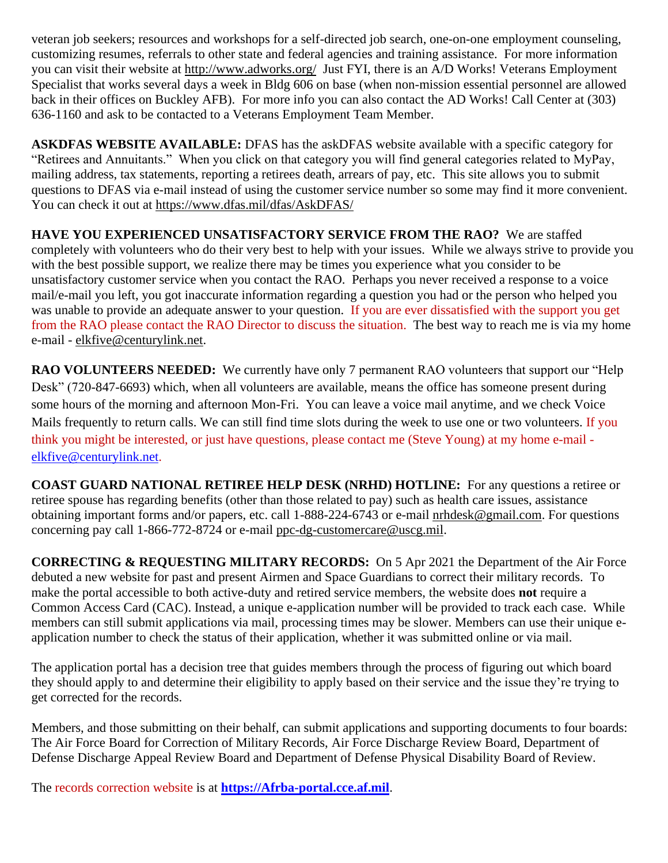veteran job seekers; resources and workshops for a self-directed job search, one-on-one employment counseling, customizing resumes, referrals to other state and federal agencies and training assistance. For more information you can visit their website at<http://www.adworks.org/>Just FYI, there is an A/D Works! Veterans Employment Specialist that works several days a week in Bldg 606 on base (when non-mission essential personnel are allowed back in their offices on Buckley AFB). For more info you can also contact the AD Works! Call Center at (303) 636-1160 and ask to be contacted to a Veterans Employment Team Member.

**ASKDFAS WEBSITE AVAILABLE:** DFAS has the askDFAS website available with a specific category for "Retirees and Annuitants." When you click on that category you will find general categories related to MyPay, mailing address, tax statements, reporting a retirees death, arrears of pay, etc. This site allows you to submit questions to DFAS via e-mail instead of using the customer service number so some may find it more convenient. You can check it out at<https://www.dfas.mil/dfas/AskDFAS/>

**HAVE YOU EXPERIENCED UNSATISFACTORY SERVICE FROM THE RAO?** We are staffed completely with volunteers who do their very best to help with your issues. While we always strive to provide you with the best possible support, we realize there may be times you experience what you consider to be unsatisfactory customer service when you contact the RAO. Perhaps you never received a response to a voice mail/e-mail you left, you got inaccurate information regarding a question you had or the person who helped you was unable to provide an adequate answer to your question. If you are ever dissatisfied with the support you get from the RAO please contact the RAO Director to discuss the situation. The best way to reach me is via my home e-mail - [elkfive@centurylink.net.](mailto:elkfive@centurylink.net)

**RAO VOLUNTEERS NEEDED:** We currently have only 7 permanent RAO volunteers that support our "Help Desk" (720-847-6693) which, when all volunteers are available, means the office has someone present during some hours of the morning and afternoon Mon-Fri. You can leave a voice mail anytime, and we check Voice Mails frequently to return calls. We can still find time slots during the week to use one or two volunteers. If you think you might be interested, or just have questions, please contact me (Steve Young) at my home e-mail [elkfive@centurylink.net.](mailto:elkfive@centurylink.net)

**COAST GUARD NATIONAL RETIREE HELP DESK (NRHD) HOTLINE:** For any questions a retiree or retiree spouse has regarding benefits (other than those related to pay) such as health care issues, assistance obtaining important forms and/or papers, etc. call 1-888-224-6743 or e-mail [nrhdesk@gmail.com.](mailto:nrhdesk@gmail.com) For questions concerning pay call 1-866-772-8724 or e-mail [ppc-dg-customercare@uscg.mil.](mailto:ppc-dg-customercare@uscg.mil)

**CORRECTING & REQUESTING MILITARY RECORDS:** On 5 Apr 2021 the Department of the Air Force debuted a new website for past and present Airmen and Space Guardians to correct their military records. To make the portal accessible to both active-duty and retired service members, the website does **not** require a Common Access Card (CAC). Instead, a unique e-application number will be provided to track each case. While members can still submit applications via mail, processing times may be slower. Members can use their unique eapplication number to check the status of their application, whether it was submitted online or via mail.

The application portal has a decision tree that guides members through the process of figuring out which board they should apply to and determine their eligibility to apply based on their service and the issue they're trying to get corrected for the records.

Members, and those submitting on their behalf, can submit applications and supporting documents to four boards: The Air Force Board for Correction of Military Records, Air Force Discharge Review Board, Department of Defense Discharge Appeal Review Board and Department of Defense Physical Disability Board of Review.

The records correction website is at **[https://Afrba-portal.cce.af.mil](https://afrba-portal.cce.af.mil/)**.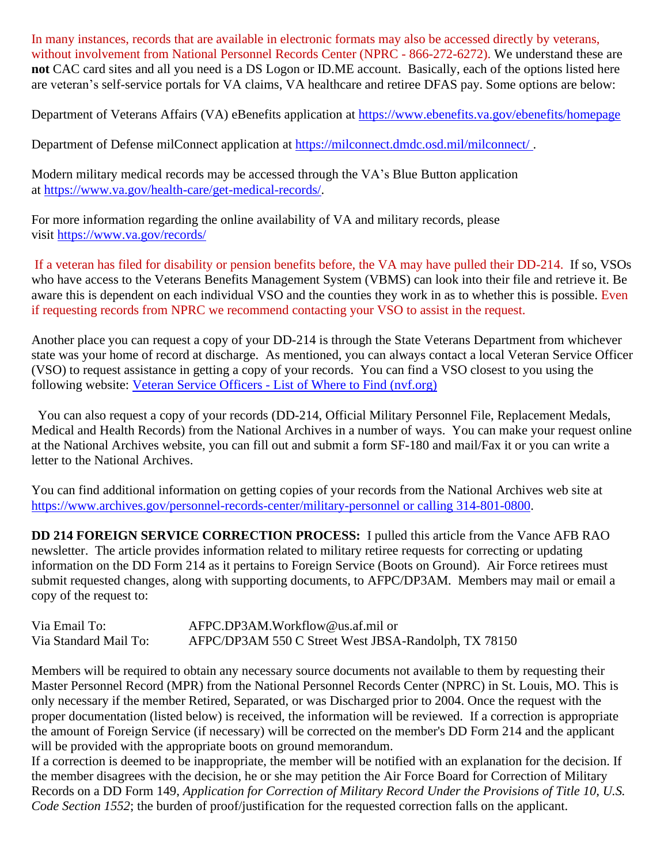In many instances, records that are available in electronic formats may also be accessed directly by veterans, without involvement from National Personnel Records Center (NPRC - 866-272-6272). We understand these are **not** CAC card sites and all you need is a DS Logon or ID.ME account. Basically, each of the options listed here are veteran's self-service portals for VA claims, VA healthcare and retiree DFAS pay. Some options are below:

Department of Veterans Affairs (VA) eBenefits application at [https://www.ebenefits.va.gov/ebenefits/homepage](https://gcc02.safelinks.protection.outlook.com/?url=https%3A%2F%2Fwww.ebenefits.va.gov%2Febenefits%2Fhomepage&data=04%7C01%7CJMedina%40arapahoegov.com%7C4ba6a9bb0f614d20689d08d8f4881a52%7C57d7b626d71d47f684c1c43bda19ba16%7C1%7C0%7C637528212705904594%7CUnknown%7CTWFpbGZsb3d8eyJWIjoiMC4wLjAwMDAiLCJQIjoiV2luMzIiLCJBTiI6Ik1haWwiLCJXVCI6Mn0%3D%7C1000&sdata=hXw9dmDwVyyfMT6CLAKjNC7ErxQaRPjSNwpBd6NAZQE%3D&reserved=0)

Department of Defense milConnect application at [https://milconnect.dmdc.osd.mil/milconnect/](https://gcc02.safelinks.protection.outlook.com/?url=https%3A%2F%2Fmilconnect.dmdc.osd.mil%2Fmilconnect%2F&data=04%7C01%7CJMedina%40arapahoegov.com%7C4ba6a9bb0f614d20689d08d8f4881a52%7C57d7b626d71d47f684c1c43bda19ba16%7C1%7C0%7C637528212705914549%7CUnknown%7CTWFpbGZsb3d8eyJWIjoiMC4wLjAwMDAiLCJQIjoiV2luMzIiLCJBTiI6Ik1haWwiLCJXVCI6Mn0%3D%7C1000&sdata=Eov1Utj64StS5R1dMb%2F4BZh07Y6ue08qLBwOJlppgzs%3D&reserved=0) .

Modern military medical records may be accessed through the VA's Blue Button application at [https://www.va.gov/health-care/get-medical-records/.](https://gcc02.safelinks.protection.outlook.com/?url=https%3A%2F%2Fwww.va.gov%2Fhealth-care%2Fget-medical-records%2F&data=04%7C01%7CJMedina%40arapahoegov.com%7C4ba6a9bb0f614d20689d08d8f4881a52%7C57d7b626d71d47f684c1c43bda19ba16%7C1%7C0%7C637528212705914549%7CUnknown%7CTWFpbGZsb3d8eyJWIjoiMC4wLjAwMDAiLCJQIjoiV2luMzIiLCJBTiI6Ik1haWwiLCJXVCI6Mn0%3D%7C1000&sdata=ZscT%2FLEpaJZRPKyOrDzvuwAjP4QuxW2MrNoew0X87%2BU%3D&reserved=0)

For more information regarding the online availability of VA and military records, please visit [https://www.va.gov/records/](https://gcc02.safelinks.protection.outlook.com/?url=https%3A%2F%2Fwww.va.gov%2Frecords%2F&data=04%7C01%7CJMedina%40arapahoegov.com%7C4ba6a9bb0f614d20689d08d8f4881a52%7C57d7b626d71d47f684c1c43bda19ba16%7C1%7C0%7C637528212705914549%7CUnknown%7CTWFpbGZsb3d8eyJWIjoiMC4wLjAwMDAiLCJQIjoiV2luMzIiLCJBTiI6Ik1haWwiLCJXVCI6Mn0%3D%7C1000&sdata=T26BlYnzbcJfnkz0lJD8hvNO988S%2BhMVRIXbJfmmpbA%3D&reserved=0)

If a veteran has filed for disability or pension benefits before, the VA may have pulled their DD-214. If so, VSOs who have access to the Veterans Benefits Management System (VBMS) can look into their file and retrieve it. Be aware this is dependent on each individual VSO and the counties they work in as to whether this is possible. Even if requesting records from NPRC we recommend contacting your VSO to assist in the request.

Another place you can request a copy of your DD-214 is through the State Veterans Department from whichever state was your home of record at discharge. As mentioned, you can always contact a local Veteran Service Officer (VSO) to request assistance in getting a copy of your records. You can find a VSO closest to you using the following website: Veteran Service Officers - List of Where to Find [\(nvf.org\)](https://nvf.org/veteran-service-officers/)

 You can also request a copy of your records (DD-214, Official Military Personnel File, Replacement Medals, Medical and Health Records) from the National Archives in a number of ways. You can make your request online at the National Archives website, you can fill out and submit a form SF-180 and mail/Fax it or you can write a letter to the National Archives.

You can find additional information on getting copies of your records from the National Archives web site at [https://www.archives.gov/personnel-records-center/military-personnel](https://www.archives.gov/personnel-records-center/military-personnel%20or%20calling%20314-801-0800) or calling 314-801-0800.

**DD 214 FOREIGN SERVICE CORRECTION PROCESS:** I pulled this article from the Vance AFB RAO newsletter. The article provides information related to military retiree requests for correcting or updating information on the DD Form 214 as it pertains to Foreign Service (Boots on Ground). Air Force retirees must submit requested changes, along with supporting documents, to AFPC/DP3AM. Members may mail or email a copy of the request to:

| Via Email To:         | AFPC.DP3AM.Workflow@us.af.mil or                     |
|-----------------------|------------------------------------------------------|
| Via Standard Mail To: | AFPC/DP3AM 550 C Street West JBSA-Randolph, TX 78150 |

Members will be required to obtain any necessary source documents not available to them by requesting their Master Personnel Record (MPR) from the National Personnel Records Center (NPRC) in St. Louis, MO. This is only necessary if the member Retired, Separated, or was Discharged prior to 2004. Once the request with the proper documentation (listed below) is received, the information will be reviewed. If a correction is appropriate the amount of Foreign Service (if necessary) will be corrected on the member's DD Form 214 and the applicant will be provided with the appropriate boots on ground memorandum.

If a correction is deemed to be inappropriate, the member will be notified with an explanation for the decision. If the member disagrees with the decision, he or she may petition the Air Force Board for Correction of Military Records on a DD Form 149, *Application for Correction of Military Record Under the Provisions of Title 10, U.S. Code Section 1552*; the burden of proof/justification for the requested correction falls on the applicant.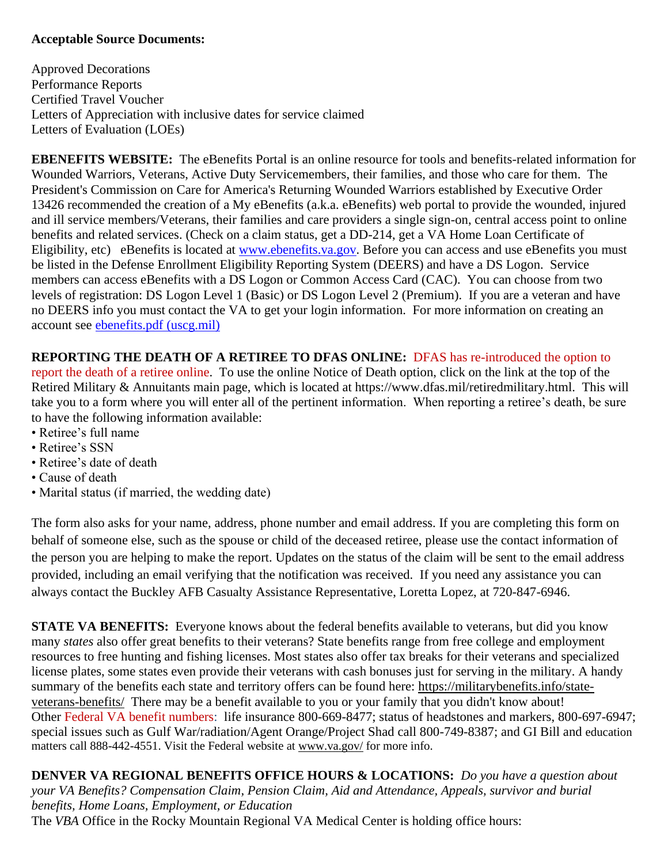#### **Acceptable Source Documents:**

Approved Decorations Performance Reports Certified Travel Voucher Letters of Appreciation with inclusive dates for service claimed Letters of Evaluation (LOEs)

**EBENEFITS WEBSITE:** The eBenefits Portal is an online resource for tools and benefits-related information for Wounded Warriors, Veterans, Active Duty Servicemembers, their families, and those who care for them. The President's Commission on Care for America's Returning Wounded Warriors established by Executive Order 13426 recommended the creation of a My eBenefits (a.k.a. eBenefits) web portal to provide the wounded, injured and ill service members/Veterans, their families and care providers a single sign-on, central access point to online benefits and related services. (Check on a claim status, get a DD-214, get a VA Home Loan Certificate of Eligibility, etc) eBenefits is located at [www.ebenefits.va.gov.](http://www.ebenefits.va.gov/) Before you can access and use eBenefits you must be listed in the Defense Enrollment Eligibility Reporting System (DEERS) and have a DS Logon. Service members can access eBenefits with a DS Logon or Common Access Card (CAC). You can choose from two levels of registration: DS Logon Level 1 (Basic) or DS Logon Level 2 (Premium). If you are a veteran and have no DEERS info you must contact the VA to get your login information. For more information on creating an account see [ebenefits.pdf \(uscg.mil\)](https://www.dcms.uscg.mil/Portals/10/CG-1/cg111/docs/TAP/ebenefits.pdf?ver=2017-03-06-144849-590)

**REPORTING THE DEATH OF A RETIREE TO DFAS ONLINE:** DFAS has re-introduced the option to report the death of a retiree online. To use the online Notice of Death option, click on the link at the top of the Retired Military & Annuitants main page, which is located at https://www.dfas.mil/retiredmilitary.html. This will take you to a form where you will enter all of the pertinent information. When reporting a retiree's death, be sure to have the following information available:

- Retiree's full name
- Retiree's SSN
- Retiree's date of death
- Cause of death
- Marital status (if married, the wedding date)

The form also asks for your name, address, phone number and email address. If you are completing this form on behalf of someone else, such as the spouse or child of the deceased retiree, please use the contact information of the person you are helping to make the report. Updates on the status of the claim will be sent to the email address provided, including an email verifying that the notification was received. If you need any assistance you can always contact the Buckley AFB Casualty Assistance Representative, Loretta Lopez, at 720-847-6946.

**STATE VA BENEFITS:** Everyone knows about the federal benefits available to veterans, but did you know many *states* also offer great benefits to their veterans? State benefits range from free college and employment resources to free hunting and fishing licenses. Most states also offer tax breaks for their veterans and specialized license plates, some states even provide their veterans with cash bonuses just for serving in the military. A handy summary of the benefits each state and territory offers can be found here: [https://militarybenefits.info/state](https://militarybenefits.info/state-veterans-benefits/)[veterans-benefits/](https://militarybenefits.info/state-veterans-benefits/) There may be a benefit available to you or your family that you didn't know about! Other Federal VA benefit numbers: life insurance 800-669-8477; status of headstones and markers, 800-697-6947; special issues such as Gulf War/radiation/Agent Orange/Project Shad call 800-749-8387; and GI Bill and education matters call 888-442-4551. Visit the Federal website at [www.va.gov/](http://www.va.gov/) for more info.

**DENVER VA REGIONAL BENEFITS OFFICE HOURS & LOCATIONS:** *Do you have a question about your VA Benefits? Compensation Claim, Pension Claim, Aid and Attendance, Appeals, survivor and burial benefits, Home Loans, Employment, or Education*  The *VBA* Office in the Rocky Mountain Regional VA Medical Center is holding office hours: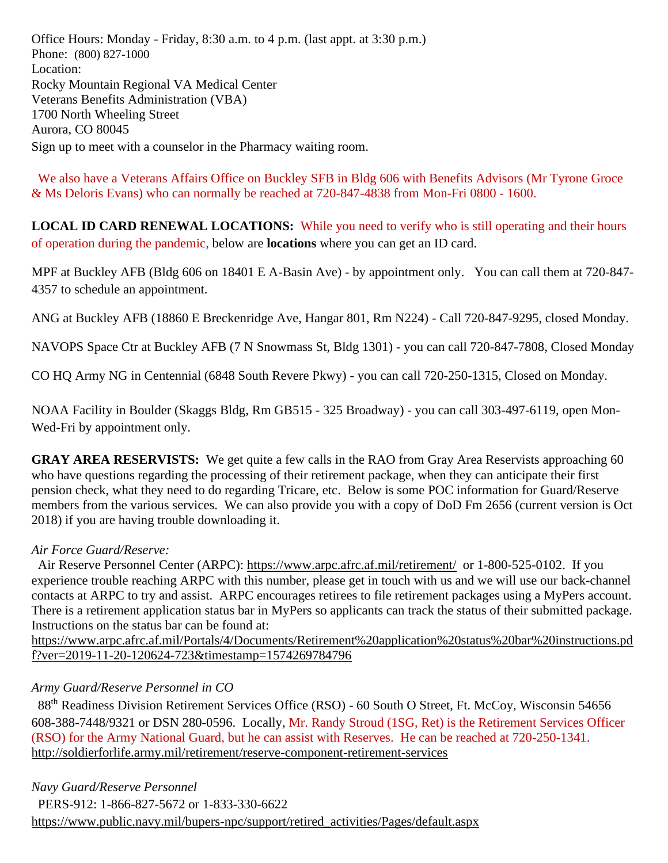Office Hours: Monday - Friday, 8:30 a.m. to 4 p.m. (last appt. at 3:30 p.m.) Phone: [\(800\) 827-1000](https://www.google.com/search?source=hp&ei=1bIFXOnJLePk8APkxJfIDw&q=denver+va+regional+benefits+office+phone+number&oq=Denver+va+regional+benef&gs_l=psy-ab.1.1.0i22i30l4.1057.7073..9944...0.0..0.148.2902.2j23......0....1..gws-wiz.....0..0j0i131j0i10.2DXy9-Yewu0) Location: Rocky Mountain Regional VA Medical Center Veterans Benefits Administration (VBA) 1700 North Wheeling Street Aurora, CO 80045 Sign up to meet with a counselor in the Pharmacy waiting room.

 We also have a Veterans Affairs Office on Buckley SFB in Bldg 606 with Benefits Advisors (Mr Tyrone Groce & Ms Deloris Evans) who can normally be reached at 720-847-4838 from Mon-Fri 0800 - 1600.

**LOCAL ID CARD RENEWAL LOCATIONS:** While you need to verify who is still operating and their hours of operation during the pandemic, below are **locations** where you can get an ID card.

MPF at Buckley AFB (Bldg 606 on 18401 E A-Basin Ave) - by appointment only. You can call them at 720-847- 4357 to schedule an appointment.

ANG at Buckley AFB (18860 E Breckenridge Ave, Hangar 801, Rm N224) - Call 720-847-9295, closed Monday.

NAVOPS Space Ctr at Buckley AFB (7 N Snowmass St, Bldg 1301) - you can call 720-847-7808, Closed Monday

CO HQ Army NG in Centennial (6848 South Revere Pkwy) - you can call 720-250-1315, Closed on Monday.

NOAA Facility in Boulder (Skaggs Bldg, Rm GB515 - 325 Broadway) - you can call 303-497-6119, open Mon-Wed-Fri by appointment only.

**GRAY AREA RESERVISTS:** We get quite a few calls in the RAO from Gray Area Reservists approaching 60 who have questions regarding the processing of their retirement package, when they can anticipate their first pension check, what they need to do regarding Tricare, etc. Below is some POC information for Guard/Reserve members from the various services. We can also provide you with a copy of DoD Fm 2656 (current version is Oct 2018) if you are having trouble downloading it.

#### *Air Force Guard/Reserve:*

 Air Reserve Personnel Center (ARPC): <https://www.arpc.afrc.af.mil/retirement/>or 1-800-525-0102. If you experience trouble reaching ARPC with this number, please get in touch with us and we will use our back-channel contacts at ARPC to try and assist. ARPC encourages retirees to file retirement packages using a MyPers account. There is a retirement application status bar in MyPers so applicants can track the status of their submitted package. Instructions on the status bar can be found at:

[https://www.arpc.afrc.af.mil/Portals/4/Documents/Retirement%20application%20status%20bar%20instructions.pd](https://www.arpc.afrc.af.mil/Portals/4/Documents/Retirement%20application%20status%20bar%20instructions.pdf?ver=2019-11-20-120624-723×tamp=1574269784796) [f?ver=2019-11-20-120624-723&timestamp=1574269784796](https://www.arpc.afrc.af.mil/Portals/4/Documents/Retirement%20application%20status%20bar%20instructions.pdf?ver=2019-11-20-120624-723×tamp=1574269784796)

#### *Army Guard/Reserve Personnel in CO*

88<sup>th</sup> Readiness Division Retirement Services Office (RSO) - 60 South O Street, Ft. McCoy, Wisconsin 54656 608-388-7448/9321 or DSN 280-0596. Locally, Mr. Randy Stroud (1SG, Ret) is the Retirement Services Officer (RSO) for the Army National Guard, but he can assist with Reserves. He can be reached at 720-250-1341. <http://soldierforlife.army.mil/retirement/reserve-component-retirement-services>

*Navy Guard/Reserve Personnel* PERS-912: 1-866-827-5672 or 1-833-330-6622 [https://www.public.navy.mil/bupers-npc/support/retired\\_activities/Pages/default.aspx](https://www.public.navy.mil/bupers-npc/support/retired_activities/Pages/default.aspx)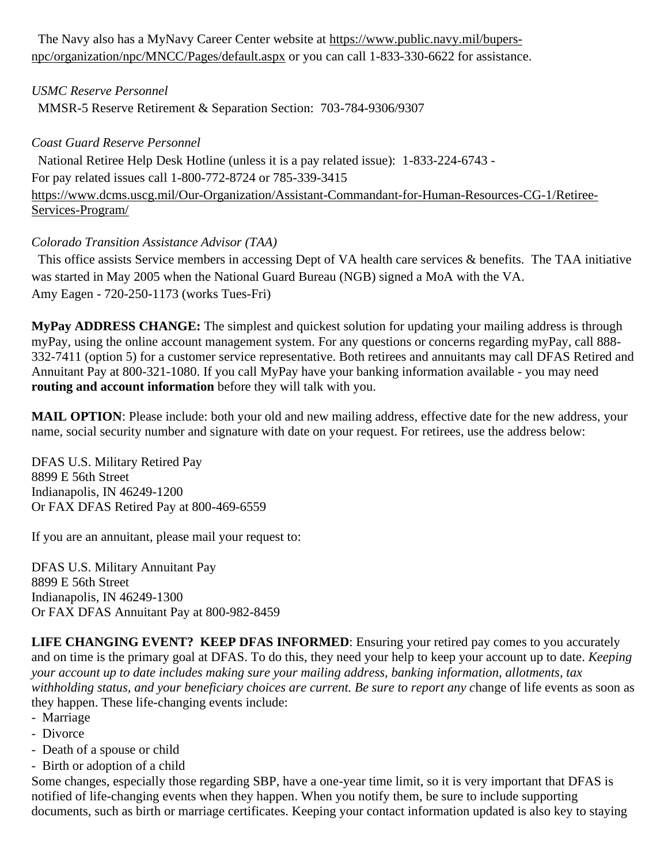The Navy also has a MyNavy Career Center website at [https://www.public.navy.mil/bupers](https://www.public.navy.mil/bupers-npc/organization/npc/MNCC/Pages/default.aspx)[npc/organization/npc/MNCC/Pages/default.aspx](https://www.public.navy.mil/bupers-npc/organization/npc/MNCC/Pages/default.aspx) or you can call 1-833-330-6622 for assistance.

## *USMC Reserve Personnel*

MMSR-5 Reserve Retirement & Separation Section: 703-784-9306/9307

### *Coast Guard Reserve Personnel*

 National Retiree Help Desk Hotline (unless it is a pay related issue): 1-833-224-6743 - For pay related issues call 1-800-772-8724 or 785-339-3415 [https://www.dcms.uscg.mil/Our-Organization/Assistant-Commandant-for-Human-Resources-CG-1/Retiree-](https://www.dcms.uscg.mil/Our-Organization/Assistant-Commandant-for-Human-Resources-CG-1/Retiree-Services-Program/)[Services-Program/](https://www.dcms.uscg.mil/Our-Organization/Assistant-Commandant-for-Human-Resources-CG-1/Retiree-Services-Program/)

## *Colorado Transition Assistance Advisor (TAA)*

 This office assists Service members in accessing Dept of VA health care services & benefits. The TAA initiative was started in May 2005 when the National Guard Bureau (NGB) signed a MoA with the VA. Amy Eagen - 720-250-1173 (works Tues-Fri)

**MyPay ADDRESS CHANGE:** The simplest and quickest solution for updating your mailing address is through myPay, using the online account management system. For any questions or concerns regarding myPay, call 888- 332-7411 (option 5) for a customer service representative. Both retirees and annuitants may call DFAS Retired and Annuitant Pay at 800-321-1080. If you call MyPay have your banking information available - you may need **routing and account information** before they will talk with you.

**MAIL OPTION**: Please include: both your old and new mailing address, effective date for the new address, your name, social security number and signature with date on your request. For retirees, use the address below:

DFAS U.S. Military Retired Pay 8899 E 56th Street Indianapolis, IN 46249-1200 Or FAX DFAS Retired Pay at 800-469-6559

If you are an annuitant, please mail your request to:

DFAS U.S. Military Annuitant Pay 8899 E 56th Street Indianapolis, IN 46249-1300 Or FAX DFAS Annuitant Pay at 800-982-8459

**LIFE CHANGING EVENT? KEEP DFAS INFORMED**: Ensuring your retired pay comes to you accurately and on time is the primary goal at DFAS. To do this, they need your help to keep your account up to date. *Keeping your account up to date includes making sure your mailing address, banking information, allotments, tax withholding status, and your beneficiary choices are current. Be sure to report any c*hange of life events as soon as they happen. These life-changing events include:

- Marriage
- Divorce
- Death of a spouse or child
- Birth or adoption of a child

Some changes, especially those regarding SBP, have a one-year time limit, so it is very important that DFAS is notified of life-changing events when they happen. When you notify them, be sure to include supporting documents, such as birth or marriage certificates. Keeping your contact information updated is also key to staying